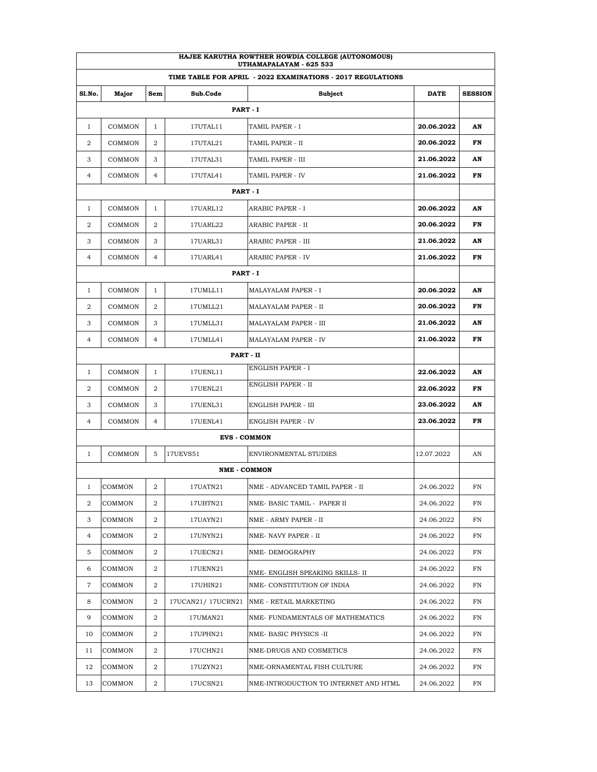| HAJEE KARUTHA ROWTHER HOWDIA COLLEGE (AUTONOMOUS)<br>UTHAMAPALAYAM - 625 533 |                                                             |                |                     |                                       |            |                |  |  |  |  |
|------------------------------------------------------------------------------|-------------------------------------------------------------|----------------|---------------------|---------------------------------------|------------|----------------|--|--|--|--|
|                                                                              | TIME TABLE FOR APRIL - 2022 EXAMINATIONS - 2017 REGULATIONS |                |                     |                                       |            |                |  |  |  |  |
| <b>S1.No.</b>                                                                | Major                                                       | Sem            | Sub.Code            | Subject                               | DATE       | <b>SESSION</b> |  |  |  |  |
|                                                                              |                                                             |                | PART - I            |                                       |            |                |  |  |  |  |
| $\mathbf{1}$                                                                 | COMMON                                                      | 1              | 17UTAL11            | TAMIL PAPER - I                       | 20.06.2022 | AN             |  |  |  |  |
| 2                                                                            | COMMON                                                      | 2              | 17UTAL21            | TAMIL PAPER - II                      | 20.06.2022 | FN             |  |  |  |  |
| 3                                                                            | COMMON                                                      | 3              | 17UTAL31            | TAMIL PAPER - III                     | 21.06.2022 | AN             |  |  |  |  |
| 4                                                                            | COMMON                                                      | $\overline{4}$ | 17UTAL41            | TAMIL PAPER - IV                      | 21.06.2022 | FN             |  |  |  |  |
| PART - I                                                                     |                                                             |                |                     |                                       |            |                |  |  |  |  |
| 1                                                                            | COMMON                                                      | 1              | 17UARL12            | ARABIC PAPER - I                      | 20.06.2022 | AN             |  |  |  |  |
| 2                                                                            | COMMON                                                      | 2              | 17UARL22            | ARABIC PAPER - II                     | 20.06.2022 | FN             |  |  |  |  |
| 3                                                                            | COMMON                                                      | 3              | 17UARL31            | ARABIC PAPER - III                    | 21.06.2022 | AN             |  |  |  |  |
| 4                                                                            | COMMON                                                      | $\overline{4}$ | 17UARL41            | <b>ARABIC PAPER - IV</b>              | 21.06.2022 | FN             |  |  |  |  |
|                                                                              |                                                             |                | PART - I            |                                       |            |                |  |  |  |  |
| $\mathbf{1}$                                                                 | COMMON                                                      | 1              | 17UMLL11            | <b>MALAYALAM PAPER - I</b>            | 20.06.2022 | AN             |  |  |  |  |
| 2                                                                            | COMMON                                                      | 2              | 17UMLL21            | MALAYALAM PAPER - II                  | 20.06.2022 | FN             |  |  |  |  |
| 3                                                                            | COMMON                                                      | 3              | 17UMLL31            | MALAYALAM PAPER - III                 | 21.06.2022 | AN             |  |  |  |  |
| 4                                                                            | COMMON                                                      | $\overline{4}$ | 17UMLL41            | MALAYALAM PAPER - IV                  | 21.06.2022 | FN             |  |  |  |  |
|                                                                              |                                                             |                |                     |                                       |            |                |  |  |  |  |
| $\mathbf{1}$                                                                 | COMMON                                                      | 1              | 17UENL11            | <b>ENGLISH PAPER - I</b>              | 22.06.2022 | AN             |  |  |  |  |
| 2                                                                            | COMMON                                                      | 2              | 17UENL21            | ENGLISH PAPER - II                    | 22.06.2022 | FN             |  |  |  |  |
| 3                                                                            | COMMON                                                      | 3              | 17UENL31            | ENGLISH PAPER - III                   | 23.06.2022 | AN             |  |  |  |  |
| 4                                                                            | COMMON                                                      | $\overline{4}$ | 17UENL41            | <b>ENGLISH PAPER - IV</b>             | 23.06.2022 | FN             |  |  |  |  |
|                                                                              |                                                             |                | <b>EVS - COMMON</b> |                                       |            |                |  |  |  |  |
| $\mathbf{1}$                                                                 | COMMON                                                      | 5              | 17UEVS51            | ENVIRONMENTAL STUDIES                 | 12.07.2022 | AN             |  |  |  |  |
|                                                                              |                                                             |                | <b>NME - COMMON</b> |                                       |            |                |  |  |  |  |
|                                                                              | 1 COMMON                                                    | $\mathbf{2}$   | 17UATN21            | NME - ADVANCED TAMIL PAPER - II       | 24.06.2022 | FN             |  |  |  |  |
| 2                                                                            | COMMON                                                      | 2              | 17UBTN21            | NME- BASIC TAMIL - PAPER II           | 24.06.2022 | FN             |  |  |  |  |
| 3                                                                            | COMMON                                                      | 2              | 17UAYN21            | NME - ARMY PAPER - II                 | 24.06.2022 | FN             |  |  |  |  |
| 4                                                                            | COMMON                                                      | 2              | 17UNYN21            | NME- NAVY PAPER - II                  | 24.06.2022 | FN             |  |  |  |  |
| 5                                                                            | COMMON                                                      | 2              | 17UECN21            | NME-DEMOGRAPHY                        | 24.06.2022 | FN             |  |  |  |  |
| 6                                                                            | COMMON                                                      | 2              | 17UENN21            | NME- ENGLISH SPEAKING SKILLS- II      | 24.06.2022 | FN             |  |  |  |  |
| 7                                                                            | COMMON                                                      | 2              | 17UHIN21            | NME- CONSTITUTION OF INDIA            | 24.06.2022 | FN             |  |  |  |  |
| 8                                                                            | COMMON                                                      | 2              | 17UCAN21/17UCRN21   | NME - RETAIL MARKETING                | 24.06.2022 | FN             |  |  |  |  |
| 9                                                                            | COMMON                                                      | 2              | 17UMAN21            | NME- FUNDAMENTALS OF MATHEMATICS      | 24.06.2022 | FN             |  |  |  |  |
| 10                                                                           | COMMON                                                      | 2              | 17UPHN21            | NME-BASIC PHYSICS -II                 | 24.06.2022 | FN             |  |  |  |  |
| 11                                                                           | COMMON                                                      | 2              | 17UCHN21            | NME-DRUGS AND COSMETICS               | 24.06.2022 | FN             |  |  |  |  |
| 12                                                                           | COMMON                                                      | 2              | 17UZYN21            | NME-ORNAMENTAL FISH CULTURE           | 24.06.2022 | FN             |  |  |  |  |
| 13                                                                           | COMMON                                                      | 2              | 17UCSN21            | NME-INTRODUCTION TO INTERNET AND HTML | 24.06.2022 | FN             |  |  |  |  |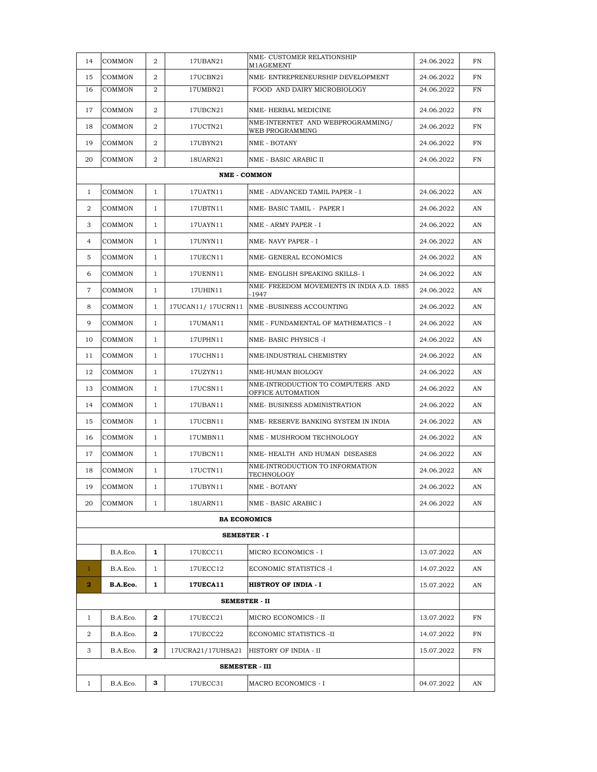| 14             | COMMON        | $\overline{2}$ | 17UBAN21              | NME- CUSTOMER RELATIONSHIP<br>M1AGEMENT                | 24.06.2022 | FN |
|----------------|---------------|----------------|-----------------------|--------------------------------------------------------|------------|----|
| 15             | COMMON        | 2              | 17UCBN21              | NME- ENTREPRENEURSHIP DEVELOPMENT                      | 24.06.2022 | FN |
| 16             | COMMON        | 2              | 17UMBN21              | FOOD AND DAIRY MICROBIOLOGY                            | 24.06.2022 | FN |
| 17             | COMMON        | 2              | 17UBCN21              | NME-HERBAL MEDICINE                                    | 24.06.2022 | FN |
| 18             | COMMON        | 2              | 17UCTN21              | NME-INTERNTET AND WEBPROGRAMMING/<br>WEB PROGRAMMING   | 24.06.2022 | FN |
| 19             | COMMON        | 2              | 17UBYN21              | NME - BOTANY                                           | 24.06.2022 | FN |
| 20             | COMMON        | 2              | 18UARN21              | NME - BASIC ARABIC II                                  | 24.06.2022 | FN |
|                |               |                | <b>NME - COMMON</b>   |                                                        |            |    |
| 1              | COMMON        | 1              | 17UATN11              | NME - ADVANCED TAMIL PAPER - I                         | 24.06.2022 | AN |
| 2              | COMMON        | $\mathbf{1}$   | 17UBTN11              | NME-BASIC TAMIL - PAPER I                              | 24.06.2022 | AN |
| 3              | COMMON        | 1              | 17UAYN11              | NME - ARMY PAPER - I                                   | 24.06.2022 | AN |
| 4              | COMMON        | 1              | 17UNYN11              | NME-NAVY PAPER - I                                     | 24.06.2022 | AN |
| 5              | COMMON        | $\mathbf{1}$   | 17UECN11              | NME- GENERAL ECONOMICS                                 | 24.06.2022 | AN |
| 6              | COMMON        | 1              | 17UENN11              | NME- ENGLISH SPEAKING SKILLS- I                        | 24.06.2022 | AN |
| 7              | COMMON        | $\mathbf{1}$   | 17UHIN11              | NME- FREEDOM MOVEMENTS IN INDIA A.D. 1885<br>-1947     | 24.06.2022 | AN |
| 8              | COMMON        | 1              | 17UCAN11/17UCRN11     | NME-BUSINESS ACCOUNTING                                | 24.06.2022 | AN |
| 9              | COMMON        | $\mathbf{1}$   | 17UMAN11              | NME - FUNDAMENTAL OF MATHEMATICS - I                   | 24.06.2022 | AN |
| 10             | <b>COMMON</b> | $\mathbf{1}$   | 17UPHN11              | NME-BASIC PHYSICS -I                                   | 24.06.2022 | AN |
| 11             | COMMON        | 1              | 17UCHN11              | NME-INDUSTRIAL CHEMISTRY                               | 24.06.2022 | AN |
| 12             | COMMON        | $\mathbf{1}$   | 17UZYN11              | NME-HUMAN BIOLOGY                                      | 24.06.2022 | AN |
| 13             | COMMON        | 1              | 17UCSN11              | NME-INTRODUCTION TO COMPUTERS AND<br>OFFICE AUTOMATION | 24.06.2022 | AN |
| 14             | COMMON        | $\mathbf{1}$   | 17UBAN11              | NME- BUSINESS ADMINISTRATION                           | 24.06.2022 | AN |
| 15             | <b>COMMON</b> | $\mathbf{1}$   | 17UCBN11              | NME- RESERVE BANKING SYSTEM IN INDIA                   | 24.06.2022 | AN |
| 16             | COMMON        | 1              | 17UMBN11              | NME - MUSHROOM TECHNOLOGY                              | 24.06.2022 | AN |
| 17             | COMMON        | $\mathbf{1}$   | 17UBCN11              | NME-HEALTH AND HUMAN DISEASES                          | 24.06.2022 | AN |
| 18             | COMMON        | 1              | 17UCTN11              | NME-INTRODUCTION TO INFORMATION<br>TECHNOLOGY          | 24.06.2022 | AN |
| 19             | COMMON        | $\mathbf{1}$   | 17UBYN11              | <b>NME - BOTANY</b>                                    | 24.06.2022 | AN |
| 20             | <b>COMMON</b> | $\mathbf{1}$   | 18UARN11              | NME - BASIC ARABIC I                                   | 24.06.2022 | AN |
|                |               |                | <b>BA ECONOMICS</b>   |                                                        |            |    |
|                |               |                |                       | <b>SEMESTER - I</b>                                    |            |    |
|                | B.A.Eco.      | 1              | 17UECC11              | MICRO ECONOMICS - I                                    | 13.07.2022 | AN |
| $\mathbf{1}$   | B.A.Eco.      | $\mathbf{1}$   | 17UECC12              | ECONOMIC STATISTICS -I                                 | 14.07.2022 | AN |
| $\overline{2}$ | B.A.Eco.      | 1              | <b>17UECA11</b>       | <b>HISTROY OF INDIA - I</b>                            | 15.07.2022 | AN |
|                |               |                | <b>SEMESTER - II</b>  |                                                        |            |    |
| $\mathbf{1}$   | B.A.Eco.      | 2              | 17UECC21              | MICRO ECONOMICS - II                                   | 13.07.2022 | FN |
| 2              | B.A.Eco.      | 2              | 17UECC22              | ECONOMIC STATISTICS -II                                | 14.07.2022 | FN |
| 3              | B.A.Eco.      | 2              |                       | 17UCRA21/17UHSA21 HISTORY OF INDIA - II                | 15.07.2022 | FN |
|                |               |                | <b>SEMESTER - III</b> |                                                        |            |    |
| $\mathbf{1}$   | B.A.Eco.      | 3              | 17UECC31              | MACRO ECONOMICS - I                                    | 04.07.2022 | AN |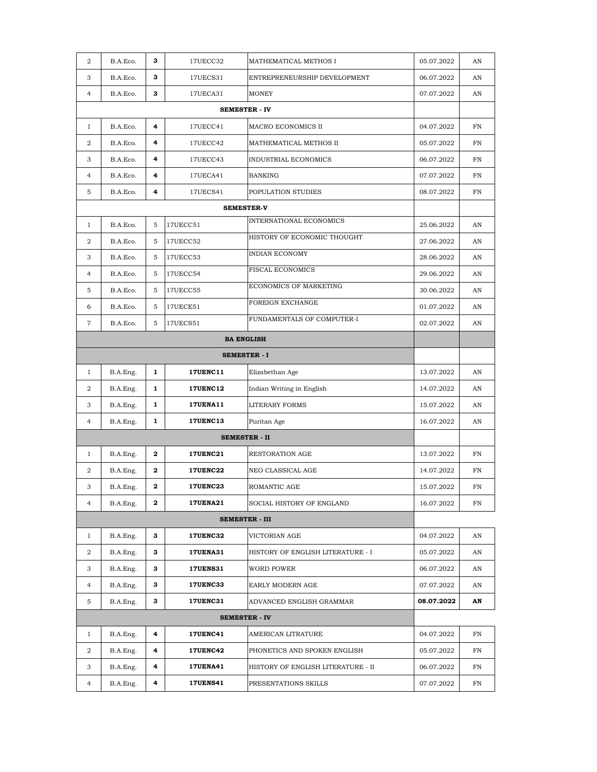| $\overline{2}$ | B.A.Eco. | 3            | 17UECC32        | MATHEMATICAL METHOS I              | 05.07.2022 | AN |
|----------------|----------|--------------|-----------------|------------------------------------|------------|----|
| 3              | B.A.Eco. | 3            | 17UECS31        | ENTREPRENEURSHIP DEVELOPMENT       | 06.07.2022 | AN |
| $\overline{4}$ | B.A.Eco. | 3            | 17UECA31        | <b>MONEY</b>                       | 07.07.2022 | AN |
|                |          |              |                 | <b>SEMESTER - IV</b>               |            |    |
| $\mathbf{1}$   | B.A.Eco. | 4            | 17UECC41        | MACRO ECONOMICS II                 | 04.07.2022 | FN |
| 2              | B.A.Eco. | 4            | 17UECC42        | MATHEMATICAL METHOS II             | 05.07.2022 | FN |
| 3              | B.A.Eco. | 4            | 17UECC43        | INDUSTRIAL ECONOMICS               | 06.07.2022 | FN |
| $\overline{4}$ | B.A.Eco. | 4            | 17UECA41        | <b>BANKING</b>                     | 07.07.2022 | FN |
| 5              | B.A.Eco. | 4            | 17UECS41        | POPULATION STUDIES                 | 08.07.2022 | FN |
|                |          |              |                 | <b>SEMESTER-V</b>                  |            |    |
| $\mathbf{1}$   | B.A.Eco. | 5            | 17UECC51        | INTERNATIONAL ECONOMICS            | 25.06.2022 | AN |
| $\overline{2}$ | B.A.Eco. | 5            | 17UECC52        | HISTORY OF ECONOMIC THOUGHT        | 27.06.2022 | AN |
| 3              | B.A.Eco. | 5            | 17UECC53        | <b>INDIAN ECONOMY</b>              | 28.06.2022 | AN |
| $\overline{4}$ | B.A.Eco. | 5            | 17UECC54        | <b>FISCAL ECONOMICS</b>            | 29.06.2022 | AN |
| 5              | B.A.Eco. | 5            | 17UECC55        | ECONOMICS OF MARKETING             | 30.06.2022 | AN |
| 6              | B.A.Eco. | 5            | 17UECE51        | FOREIGN EXCHANGE                   | 01.07.2022 | AN |
| $\tau$         | B.A.Eco. | 5            | 17UECS51        | FUNDAMENTALS OF COMPUTER-I         | 02.07.2022 | AN |
|                |          |              |                 | <b>BA ENGLISH</b>                  |            |    |
|                |          |              |                 |                                    |            |    |
| $\mathbf{1}$   | B.A.Eng. | $\mathbf{1}$ | <b>17UENC11</b> | Elizabethan Age                    | 13.07.2022 | AN |
| 2              | B.A.Eng. | 1            | <b>17UENC12</b> | Indian Writing in English          | 14.07.2022 | AN |
| 3              | B.A.Eng. | 1            | <b>17UENA11</b> | <b>LITERARY FORMS</b>              | 15.07.2022 | AN |
| $\overline{4}$ | B.A.Eng. | 1            | <b>17UENC13</b> | Puritan Age                        | 16.07.2022 | AN |
|                |          |              |                 | <b>SEMESTER - II</b>               |            |    |
| $\mathbf{1}$   | B.A.Eng. | $\mathbf{2}$ | <b>17UENC21</b> | RESTORATION AGE                    | 13.07.2022 | FN |
| 2              | B.A.Eng. | 2            | <b>17UENC22</b> | NEO CLASSICAL AGE                  | 14.07.2022 | FN |
| 3              | B.A.Eng. | $\mathbf{2}$ | <b>17UENC23</b> | ROMANTIC AGE                       | 15.07.2022 | FN |
| 4              | B.A.Eng. | 2            | <b>17UENA21</b> | SOCIAL HISTORY OF ENGLAND          | 16.07.2022 | FN |
|                |          |              |                 | <b>SEMESTER - III</b>              |            |    |
| $\mathbf{1}$   | B.A.Eng. | 3            | <b>17UENC32</b> | VICTORIAN AGE                      | 04.07.2022 | AN |
| 2              | B.A.Eng. | 3            | <b>17UENA31</b> | HISTORY OF ENGLISH LITERATURE - I  | 05.07.2022 | AN |
| 3              | B.A.Eng. | 3            | <b>17UENS31</b> | WORD POWER                         | 06.07.2022 | AN |
| 4              | B.A.Eng. | з            | <b>17UENC33</b> | EARLY MODERN AGE                   | 07.07.2022 | AN |
| 5              | B.A.Eng. | 3            | <b>17UENC31</b> | ADVANCED ENGLISH GRAMMAR           | 08.07.2022 | AN |
|                |          |              |                 | <b>SEMESTER - IV</b>               |            |    |
| $\mathbf{1}$   | B.A.Eng. | 4            | <b>17UENC41</b> | AMERICAN LITRATURE                 | 04.07.2022 | FN |
| 2              | B.A.Eng. | 4            | <b>17UENC42</b> | PHONETICS AND SPOKEN ENGLISH       | 05.07.2022 | FN |
| 3              | B.A.Eng. | 4            | <b>17UENA41</b> | HISTORY OF ENGLISH LITERATURE - II | 06.07.2022 | FN |
| $\overline{4}$ | B.A.Eng. | 4            | <b>17UENS41</b> | PRESENTATIONS SKILLS               | 07.07.2022 | FN |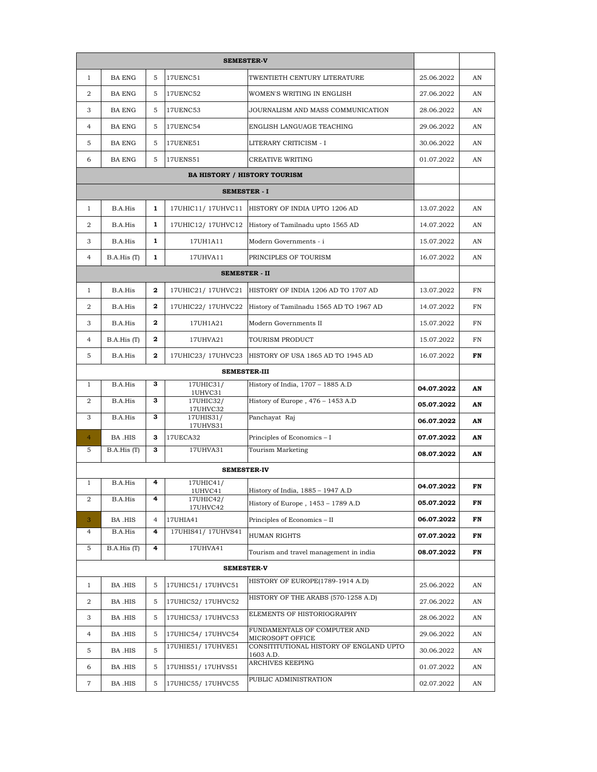| $\mathbf{1}$   | <b>BA ENG</b> | 5              | 17UENC51              | TWENTIETH CENTURY LITERATURE                         | 25.06.2022 | AN |
|----------------|---------------|----------------|-----------------------|------------------------------------------------------|------------|----|
| $\overline{2}$ | <b>BA ENG</b> | 5              | 17UENC52              | WOMEN'S WRITING IN ENGLISH                           | 27.06.2022 | AN |
| 3              | <b>BA ENG</b> | 5              | 17UENC53              | JOURNALISM AND MASS COMMUNICATION                    | 28.06.2022 | AN |
| $\overline{4}$ | <b>BA ENG</b> | 5              | 17UENC54              | ENGLISH LANGUAGE TEACHING                            | 29.06.2022 | AN |
| 5              | <b>BA ENG</b> | 5              | 17UENE51              | LITERARY CRITICISM - I                               | 30.06.2022 | AN |
| 6              | <b>BA ENG</b> | 5              | <b>17UENS51</b>       | CREATIVE WRITING                                     | 01.07.2022 | AN |
|                |               |                |                       |                                                      |            |    |
|                |               |                |                       |                                                      |            |    |
| $\mathbf{1}$   | B.A.His       | $\mathbf{1}$   | 17UHIC11/17UHVC11     | HISTORY OF INDIA UPTO 1206 AD                        | 13.07.2022 | AN |
| 2              | B.A.His       | 1              | 17UHIC12/17UHVC12     | History of Tamilnadu upto 1565 AD                    | 14.07.2022 | AN |
| 3              | B.A.His       | 1              | 17UH1A11              | Modern Governments - i                               | 15.07.2022 | AN |
| $\overline{4}$ | B.A.His(T)    | 1              | 17UHVA11              | PRINCIPLES OF TOURISM                                | 16.07.2022 | AN |
|                |               |                | <b>SEMESTER - II</b>  |                                                      |            |    |
| $\mathbf{1}$   | B.A.His       | $\mathbf{2}$   | 17UHIC21/ 17UHVC21    | HISTORY OF INDIA 1206 AD TO 1707 AD                  | 13.07.2022 | FN |
| 2              | B.A.His       | $\mathbf 2$    | 17UHIC22/ 17UHVC22    | History of Tamilnadu 1565 AD TO 1967 AD              | 14.07.2022 | FN |
| 3              | B.A.His       | $\mathbf{2}$   | 17UH1A21              | Modern Governments II                                | 15.07.2022 | FN |
| 4              | B.A.His (T)   | 2              | 17UHVA21              | TOURISM PRODUCT                                      | 15.07.2022 | FN |
| 5              | B.A.His       | $\mathbf{2}$   | 17UHIC23/17UHVC23     | HISTORY OF USA 1865 AD TO 1945 AD                    | 16.07.2022 | FN |
|                |               |                |                       |                                                      |            |    |
| $\mathbf{1}$   | B.A.His       | 3              | 17UHIC31/<br>1UHVC31  | History of India, 1707 - 1885 A.D                    | 04.07.2022 | AN |
| $\overline{2}$ | B.A.His       | 3              | 17UHIC32/<br>17UHVC32 | History of Europe, 476 - 1453 A.D                    | 05.07.2022 | AN |
| 3              | B.A.His       | з              | 17UHIS31/<br>17UHVS31 | Panchayat Raj                                        | 06.07.2022 | AN |
| $\overline{4}$ | BA .HIS       | з              | 17UECA32              | Principles of Economics - I                          | 07.07.2022 | AN |
| 5              | B.A.His (T)   | 3              | 17UHVA31              | Tourism Marketing                                    | 08.07.2022 | AN |
|                |               |                | <b>SEMESTER-IV</b>    |                                                      |            |    |
| $\mathbf{1}$   | B.A.His       | 4              | 17UHIC41/<br>1UHVC41  | History of India, 1885 – 1947 A.D                    | 04.07.2022 | FN |
| 2              | B.A.His       | 4              | 17UHIC42/<br>17UHVC42 | History of Europe, 1453 - 1789 A.D                   | 05.07.2022 | FN |
| 3              | BA .HIS       | $\overline{4}$ | 17UHIA41              | Principles of Economics – II                         | 06.07.2022 | FN |
| $\overline{4}$ | B.A.His       | 4              | 17UHIS41/17UHVS41     | HUMAN RIGHTS                                         | 07.07.2022 | FN |
| 5              | B.A.His (T)   | 4              | 17UHVA41              | Tourism and travel management in india               | 08.07.2022 | FN |
|                |               |                | <b>SEMESTER-V</b>     |                                                      |            |    |
| $\mathbf{1}$   | BA .HIS       | 5              | 17UHIC51/17UHVC51     | HISTORY OF EUROPE(1789-1914 A.D)                     | 25.06.2022 | AN |
| 2              | BA .HIS       | 5              | 17UHIC52/17UHVC52     | HISTORY OF THE ARABS (570-1258 A.D)                  | 27.06.2022 | AN |
| 3              | BA .HIS       | 5              | 17UHIC53/17UHVC53     | ELEMENTS OF HISTORIOGRAPHY                           | 28.06.2022 | AN |
| $\overline{4}$ | BA .HIS       | 5              | 17UHIC54/17UHVC54     | FUNDAMENTALS OF COMPUTER AND<br>MICROSOFT OFFICE     | 29.06.2022 | AN |
| 5              | BA .HIS       | 5              | 17UHIE51/17UHVE51     | CONSITITUTIONAL HISTORY OF ENGLAND UPTO<br>1603 A.D. | 30.06.2022 | AN |
| 6              | BA .HIS       | 5              | 17UHIS51/17UHVS51     | ARCHIVES KEEPING                                     | 01.07.2022 | AN |
| $\overline{7}$ | BA .HIS       | 5              | 17UHIC55/17UHVC55     | PUBLIC ADMINISTRATION                                | 02.07.2022 | AN |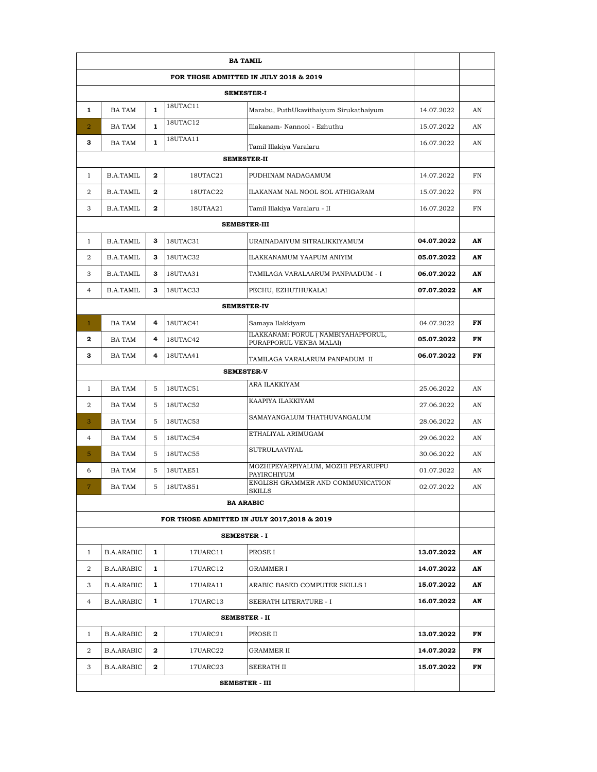|                |                   |              |          | <b>SEMESTER-I</b>                                             |            |    |
|----------------|-------------------|--------------|----------|---------------------------------------------------------------|------------|----|
| 1              | BA TAM            | 1            | 18UTAC11 | Marabu, PuthUkavithaiyum Sirukathaiyum                        | 14.07.2022 | AN |
| $\overline{2}$ | BA TAM            | 1            | 18UTAC12 | Illakanam- Nannool - Ezhuthu                                  | 15.07.2022 | AN |
| 3              | <b>BA TAM</b>     | $\mathbf{1}$ | 18UTAA11 | Tamil Illakiya Varalaru                                       | 16.07.2022 | AN |
|                |                   |              |          |                                                               |            |    |
| $\mathbf{1}$   | B.A.TAMIL         | $\mathbf 2$  | 18UTAC21 | PUDHINAM NADAGAMUM                                            | 14.07.2022 | FN |
| 2              | B.A.TAMIL         | $\mathbf 2$  | 18UTAC22 | ILAKANAM NAL NOOL SOL ATHIGARAM                               | 15.07.2022 | FN |
| 3              | B.A.TAMIL         | 2            | 18UTAA21 | Tamil Illakiya Varalaru - II                                  | 16.07.2022 | FN |
|                |                   |              |          | <b>SEMESTER-III</b>                                           |            |    |
| $\mathbf{1}$   | B.A.TAMIL         | 3            | 18UTAC31 | URAINADAIYUM SITRALIKKIYAMUM                                  | 04.07.2022 | AN |
| 2              | B.A.TAMIL         | з            | 18UTAC32 | ILAKKANAMUM YAAPUM ANIYIM                                     | 05.07.2022 | AN |
| 3              | B.A.TAMIL         | 3            | 18UTAA31 | TAMILAGA VARALAARUM PANPAADUM - I                             | 06.07.2022 | AN |
| $\overline{4}$ | B.A.TAMIL         | 3            | 18UTAC33 | PECHU, EZHUTHUKALAI                                           | 07.07.2022 | AN |
|                |                   |              |          | <b>SEMESTER-IV</b>                                            |            |    |
| $\mathbf{1}$   | <b>BA TAM</b>     | 4            | 18UTAC41 | Samaya Ilakkiyam                                              | 04.07.2022 | FN |
| $\mathbf 2$    | BA TAM            | 4            | 18UTAC42 | ILAKKANAM: PORUL (NAMBIYAHAPPORUL,<br>PURAPPORUL VENBA MALAI) | 05.07.2022 | FN |
| з              | BA TAM            | 4            | 18UTAA41 | TAMILAGA VARALARUM PANPADUM II                                | 06.07.2022 | FN |
|                |                   |              |          |                                                               |            |    |
| $\mathbf{1}$   | <b>BA TAM</b>     | 5            | 18UTAC51 | ARA ILAKKIYAM                                                 | 25.06.2022 | AN |
| 2              | <b>BA TAM</b>     | 5            | 18UTAC52 | KAAPIYA ILAKKIYAM                                             | 27.06.2022 | AN |
| 3              | <b>BA TAM</b>     | 5            | 18UTAC53 | SAMAYANGALUM THATHUVANGALUM                                   | 28.06.2022 | AN |
| $\overline{4}$ | <b>BA TAM</b>     | 5            | 18UTAC54 | ETHALIYAL ARIMUGAM                                            | 29.06.2022 | AN |
| 5              | <b>BA TAM</b>     | 5            | 18UTAC55 | <b>SUTRULAAVIYAL</b>                                          | 30.06.2022 | AN |
| 6              | BA TAM            | 5            | 18UTAE51 | MOZHIPEYARPIYALUM, MOZHI PEYARUPPU<br>PAYIRCHIYUM             | 01.07.2022 | AN |
| $\overline{7}$ | <b>BA TAM</b>     | 5            | 18UTAS51 | ENGLISH GRAMMER AND COMMUNICATION<br><b>SKILLS</b>            | 02.07.2022 | AN |
|                |                   |              |          | <b>BA ARABIC</b>                                              |            |    |
|                |                   |              |          | FOR THOSE ADMITTED IN JULY 2017,2018 & 2019                   |            |    |
|                |                   |              |          | <b>SEMESTER - I</b>                                           |            |    |
| $\mathbf{1}$   | <b>B.A.ARABIC</b> | 1            | 17UARC11 | PROSE I                                                       | 13.07.2022 | AN |
| 2              | <b>B.A.ARABIC</b> | 1            | 17UARC12 | GRAMMER I                                                     | 14.07.2022 | AN |
| 3              | <b>B.A.ARABIC</b> | 1            | 17UARA11 | ARABIC BASED COMPUTER SKILLS I                                | 15.07.2022 | AN |
| 4              | <b>B.A.ARABIC</b> | 1            | 17UARC13 | SEERATH LITERATURE - I                                        | 16.07.2022 | AN |
|                |                   |              |          | SEMESTER - II                                                 |            |    |
| $\mathbf{1}$   | <b>B.A.ARABIC</b> | 2            | 17UARC21 | PROSE II                                                      | 13.07.2022 | FN |
| 2              | <b>B.A.ARABIC</b> | 2            | 17UARC22 | GRAMMER II                                                    | 14.07.2022 | FN |
| 3              | <b>B.A.ARABIC</b> | 2            | 17UARC23 | SEERATH II                                                    | 15.07.2022 | FN |
|                |                   |              |          |                                                               |            |    |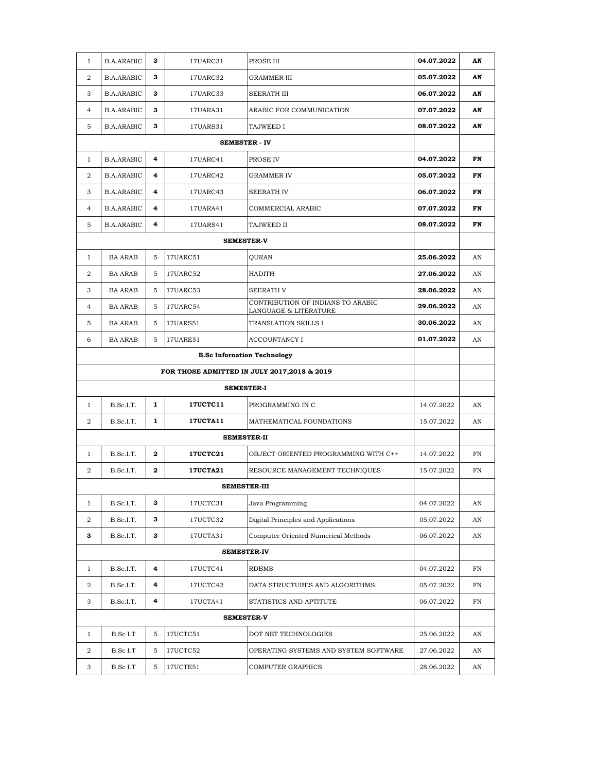| $\mathbf{1}$                                | <b>B.A.ARABIC</b>                  | 3             | 17UARC31        | PROSE III                                                  | 04.07.2022 | AN |  |  |  |
|---------------------------------------------|------------------------------------|---------------|-----------------|------------------------------------------------------------|------------|----|--|--|--|
| $\overline{2}$                              | <b>B.A.ARABIC</b>                  | 3             | 17UARC32        | <b>GRAMMER III</b>                                         | 05.07.2022 | AN |  |  |  |
| 3                                           | <b>B.A.ARABIC</b>                  | 3             | 17UARC33        | <b>SEERATH III</b>                                         | 06.07.2022 | AN |  |  |  |
| $\overline{4}$                              | <b>B.A.ARABIC</b>                  | 3             | 17UARA31        | ARABIC FOR COMMUNICATION                                   | 07.07.2022 | AN |  |  |  |
| 5                                           | <b>B.A.ARABIC</b>                  | 3             | 17UARS31        | TAJWEED I                                                  | 08.07.2022 | AN |  |  |  |
|                                             |                                    |               |                 | <b>SEMESTER - IV</b>                                       |            |    |  |  |  |
| $\mathbf{1}$                                | <b>B.A.ARABIC</b>                  | 4             | 17UARC41        | PROSE IV                                                   | 04.07.2022 | FN |  |  |  |
| 2                                           | <b>B.A.ARABIC</b>                  | 4             | 17UARC42        | <b>GRAMMER IV</b>                                          | 05.07.2022 | FN |  |  |  |
| 3                                           | <b>B.A.ARABIC</b>                  | 4             | 17UARC43        | <b>SEERATH IV</b>                                          | 06.07.2022 | FN |  |  |  |
| $\overline{4}$                              | <b>B.A.ARABIC</b>                  | 4             | 17UARA41        | COMMERCIAL ARABIC                                          | 07.07.2022 | FN |  |  |  |
| 5                                           | <b>B.A.ARABIC</b>                  | 4             | 17UARS41        | TAJWEED II                                                 | 08.07.2022 | FN |  |  |  |
| <b>SEMESTER-V</b>                           |                                    |               |                 |                                                            |            |    |  |  |  |
| $\mathbf{1}$                                | <b>BA ARAB</b>                     | 5             | 17UARC51        | QURAN                                                      | 25.06.2022 | AN |  |  |  |
| 2                                           | <b>BA ARAB</b>                     | 5             | 17UARC52        | <b>HADITH</b>                                              | 27.06.2022 | AN |  |  |  |
| 3                                           | <b>BA ARAB</b>                     | 5             | 17UARC53        | <b>SEERATH V</b>                                           | 28.06.2022 | AN |  |  |  |
| $\overline{4}$                              | <b>BA ARAB</b>                     | 5             | 17UARC54        | CONTRIBUTION OF INDIANS TO ARABIC<br>LANGUAGE & LITERATURE | 29.06.2022 | AN |  |  |  |
| 5                                           | <b>BA ARAB</b>                     | 5             | 17UARS51        | TRANSLATION SKILLS I                                       | 30.06.2022 | AN |  |  |  |
| 6                                           | <b>BA ARAB</b>                     | 17UARE51<br>5 |                 | <b>ACCOUNTANCY I</b>                                       | 01.07.2022 | AN |  |  |  |
|                                             | <b>B.Sc Infornation Technology</b> |               |                 |                                                            |            |    |  |  |  |
| FOR THOSE ADMITTED IN JULY 2017,2018 & 2019 |                                    |               |                 |                                                            |            |    |  |  |  |
| <b>SEMESTER-I</b>                           |                                    |               |                 |                                                            |            |    |  |  |  |
| $\mathbf{1}$                                | B.Sc.I.T.                          | $\mathbf{1}$  | <b>17UCTC11</b> | PROGRAMMING IN C                                           | 14.07.2022 | AN |  |  |  |
| $\overline{2}$                              | B.Sc.I.T.                          | 1             | <b>17UCTA11</b> | MATHEMATICAL FOUNDATIONS                                   | 15.07.2022 | AN |  |  |  |
|                                             |                                    |               |                 | <b>SEMESTER-II</b>                                         |            |    |  |  |  |
| $\mathbf{1}$                                | B.Sc.I.T.                          | 2             | <b>17UCTC21</b> | OBJECT ORIENTED PROGRAMMING WITH C++                       | 14.07.2022 | FN |  |  |  |
| 2                                           | B.Sc.I.T.                          | $\mathbf 2$   | <b>17UCTA21</b> | RESOURCE MANAGEMENT TECHNIQUES                             | 15.07.2022 | FN |  |  |  |
|                                             |                                    |               |                 | <b>SEMESTER-III</b>                                        |            |    |  |  |  |
| $\mathbf{1}$                                | B.Sc.I.T.                          | 3             | 17UCTC31        | Java Programming                                           | 04.07.2022 | AN |  |  |  |
| $\overline{a}$                              | B.Sc.I.T.                          | 3             | 17UCTC32        | Digital Principles and Applications                        | 05.07.2022 | AN |  |  |  |
| 3                                           | B.Sc.I.T.                          | 3             | 17UCTA31        | Computer Oriented Numerical Methods                        | 06.07.2022 | AN |  |  |  |
|                                             |                                    |               |                 | <b>SEMESTER-IV</b>                                         |            |    |  |  |  |
| $\mathbf{1}$                                | B.Sc.I.T.                          | 4             | 17UCTC41        | RDBMS                                                      | 04.07.2022 | FN |  |  |  |
| $\overline{a}$                              | B.Sc.I.T.                          | 4             | 17UCTC42        | DATA STRUCTURES AND ALGORITHMS                             | 05.07.2022 | FN |  |  |  |
| 3                                           | B.Sc.I.T.                          | 4             | 17UCTA41        | STATISTICS AND APTITUTE                                    | 06.07.2022 | FN |  |  |  |
|                                             |                                    |               |                 | <b>SEMESTER-V</b>                                          |            |    |  |  |  |
| $\mathbf{1}$                                | B.Sc I.T                           | 5             | 17UCTC51        | DOT NET TECHNOLOGIES                                       | 25.06.2022 | AN |  |  |  |
| $\overline{a}$                              | B.Sc I.T                           | 5             | 17UCTC52        | OPERATING SYSTEMS AND SYSTEM SOFTWARE                      | 27.06.2022 | AN |  |  |  |
| 3                                           | B.Sc I.T                           | 5             | 17UCTE51        | <b>COMPUTER GRAPHICS</b>                                   | 28.06.2022 | AN |  |  |  |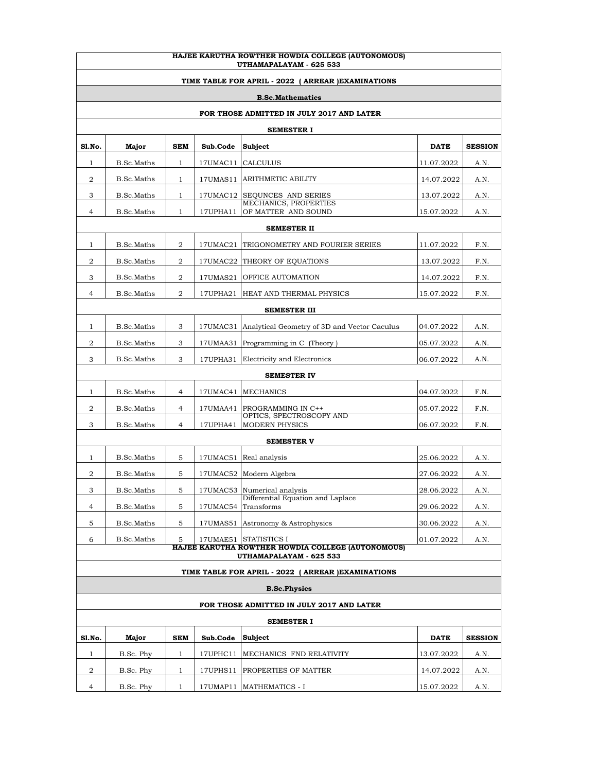| HAJEE KARUTHA ROWTHER HOWDIA COLLEGE (AUTONOMOUS)<br>UTHAMAPALAYAM - 625 533 |                     |                |          |                                                                            |             |                |  |  |
|------------------------------------------------------------------------------|---------------------|----------------|----------|----------------------------------------------------------------------------|-------------|----------------|--|--|
| TIME TABLE FOR APRIL - 2022 ( ARREAR ) EXAMINATIONS                          |                     |                |          |                                                                            |             |                |  |  |
| <b>B.Sc.Mathematics</b>                                                      |                     |                |          |                                                                            |             |                |  |  |
| FOR THOSE ADMITTED IN JULY 2017 AND LATER                                    |                     |                |          |                                                                            |             |                |  |  |
|                                                                              |                     |                |          | <b>SEMESTER I</b>                                                          |             |                |  |  |
| Sl.No.                                                                       | Major               | SEM            | Sub.Code | Subject                                                                    | <b>DATE</b> | <b>SESSION</b> |  |  |
| 1                                                                            | B.Sc.Maths          | $\mathbf{1}$   | 17UMAC11 | <b>CALCULUS</b>                                                            | 11.07.2022  | A.N.           |  |  |
| 2                                                                            | B.Sc.Maths          | $\mathbf{1}$   | 17UMAS11 | <b>ARITHMETIC ABILITY</b>                                                  | 14.07.2022  | A.N.           |  |  |
| 3                                                                            | B.Sc.Maths          | $\mathbf{1}$   | 17UMAC12 | <b>SEQUNCES AND SERIES</b>                                                 | 13.07.2022  | A.N.           |  |  |
| 4                                                                            | B.Sc.Maths          | $\mathbf{1}$   | 17UPHA11 | MECHANICS, PROPERTIES<br>OF MATTER AND SOUND                               | 15.07.2022  | A.N.           |  |  |
|                                                                              |                     |                |          | <b>SEMESTER II</b>                                                         |             |                |  |  |
| 1                                                                            | B.Sc.Maths          | 2              | 17UMAC21 | TRIGONOMETRY AND FOURIER SERIES                                            | 11.07.2022  | F.N.           |  |  |
| 2                                                                            | <b>B.Sc.Maths</b>   | 2              | 17UMAC22 | THEORY OF EQUATIONS                                                        | 13.07.2022  | F.N.           |  |  |
| 3                                                                            | B.Sc.Maths          | 2              | 17UMAS21 | <b>OFFICE AUTOMATION</b>                                                   | 14.07.2022  | F.N.           |  |  |
| 4                                                                            | B.Sc.Maths          | 2              | 17UPHA21 | HEAT AND THERMAL PHYSICS                                                   | 15.07.2022  | F.N.           |  |  |
|                                                                              | <b>SEMESTER III</b> |                |          |                                                                            |             |                |  |  |
| 1                                                                            | <b>B.Sc.Maths</b>   | 3              | 17UMAC31 | Analytical Geometry of 3D and Vector Caculus                               | 04.07.2022  | A.N.           |  |  |
| 2                                                                            | B.Sc.Maths          | 3              | 17UMAA31 | Programming in C (Theory)                                                  | 05.07.2022  | A.N.           |  |  |
| 3                                                                            | B.Sc.Maths          | 3              | 17UPHA31 | Electricity and Electronics                                                | 06.07.2022  | A.N.           |  |  |
|                                                                              |                     |                |          | <b>SEMESTER IV</b>                                                         |             |                |  |  |
| 1                                                                            | <b>B.Sc.Maths</b>   | 4              | 17UMAC41 | <b>MECHANICS</b>                                                           | 04.07.2022  | F.N.           |  |  |
| 2                                                                            | B.Sc.Maths          | 4              | 17UMAA41 | PROGRAMMING IN C++<br>OPTICS, SPECTROSCOPY AND                             | 05.07.2022  | F.N.           |  |  |
| 3                                                                            | B.Sc.Maths          | $\overline{4}$ | 17UPHA41 | <b>MODERN PHYSICS</b>                                                      | 06.07.2022  | F.N.           |  |  |
|                                                                              |                     |                |          | <b>SEMESTER V</b>                                                          |             |                |  |  |
| 1                                                                            | B.Sc.Maths          | 5              | 17UMAC51 | Real analysis                                                              | 25.06.2022  | A.N.           |  |  |
| 2                                                                            | B.Sc.Maths          | 5              | 17UMAC52 | Modern Algebra                                                             | 27.06.2022  | A.N.           |  |  |
| 3                                                                            | B.Sc.Maths          | 5              |          | 17UMAC53 Numerical analysis<br>Differential Equation and Laplace           | 28.06.2022  | A.N.           |  |  |
| 4                                                                            | B.Sc.Maths          | 5              | 17UMAC54 | Transforms                                                                 | 29.06.2022  | A.N.           |  |  |
| 5                                                                            | B.Sc.Maths          | 5              |          | 17UMAS51 Astronomy & Astrophysics                                          | 30.06.2022  | A.N.           |  |  |
| 6                                                                            | B.Sc.Maths          | 5              |          | 17UMAE51 STATISTICS I<br>HAJEE KARUTHA ROWTHER HOWDIA COLLEGE (AUTONOMOUS) | 01.07.2022  | A.N.           |  |  |
|                                                                              |                     |                |          | UTHAMAPALAYAM - 625 533                                                    |             |                |  |  |
|                                                                              |                     |                |          | TIME TABLE FOR APRIL - 2022 ( ARREAR ) EXAMINATIONS                        |             |                |  |  |
|                                                                              |                     |                |          | <b>B.Sc.Physics</b>                                                        |             |                |  |  |
|                                                                              |                     |                |          | FOR THOSE ADMITTED IN JULY 2017 AND LATER                                  |             |                |  |  |
|                                                                              |                     |                |          | SEMESTER I                                                                 |             |                |  |  |
| Sl.No.                                                                       | Major               | SEM            | Sub.Code | Subject                                                                    | <b>DATE</b> | <b>SESSION</b> |  |  |
| 1                                                                            | B.Sc. Phy           | $\mathbf{1}$   | 17UPHC11 | MECHANICS FND RELATIVITY                                                   | 13.07.2022  | A.N.           |  |  |
| 2                                                                            | B.Sc. Phy           | $\mathbf{1}$   | 17UPHS11 | PROPERTIES OF MATTER                                                       | 14.07.2022  | A.N.           |  |  |
| 4                                                                            | B.Sc. Phy           | $\mathbf{1}$   |          | 17UMAP11   MATHEMATICS - I                                                 | 15.07.2022  | A.N.           |  |  |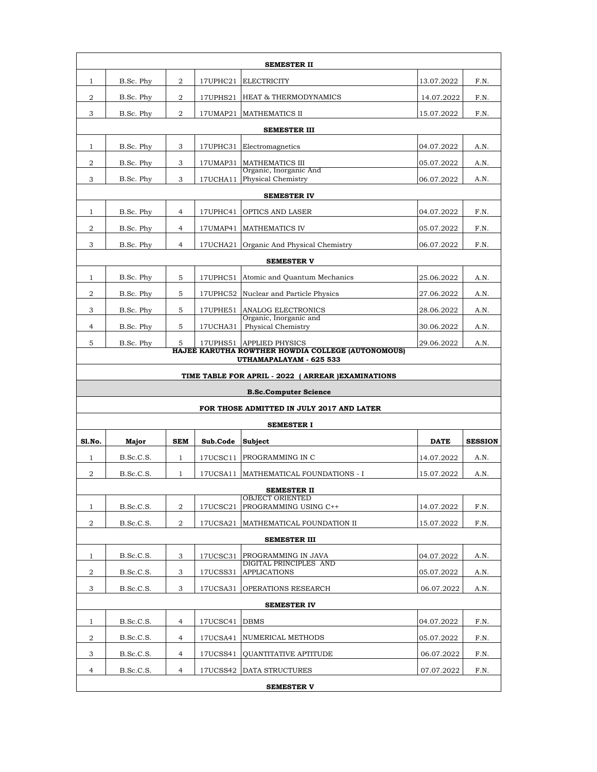|                                                     | SEMESTER II |                |          |                                                                              |             |                |  |  |
|-----------------------------------------------------|-------------|----------------|----------|------------------------------------------------------------------------------|-------------|----------------|--|--|
| $\mathbf{1}$                                        | B.Sc. Phy   | 2              | 17UPHC21 | <b>ELECTRICITY</b>                                                           | 13.07.2022  | F.N.           |  |  |
| 2                                                   | B.Sc. Phy   | 2              | 17UPHS21 | <b>HEAT &amp; THERMODYNAMICS</b>                                             | 14.07.2022  | F.N.           |  |  |
| 3                                                   | B.Sc. Phy   | $\overline{a}$ |          | 17UMAP21 MATHEMATICS II                                                      | 15.07.2022  | F.N.           |  |  |
|                                                     |             |                |          | <b>SEMESTER III</b>                                                          |             |                |  |  |
| $\mathbf{1}$                                        | B.Sc. Phy   | 3              | 17UPHC31 | Electromagnetics                                                             | 04.07.2022  | A.N.           |  |  |
| 2                                                   | B.Sc. Phy   | 3              | 17UMAP31 | <b>MATHEMATICS III</b>                                                       | 05.07.2022  | A.N.           |  |  |
| 3                                                   | B.Sc. Phy   | 3              |          | Organic, Inorganic And<br>17UCHA11 Physical Chemistry                        | 06.07.2022  | A.N.           |  |  |
|                                                     |             |                |          | <b>SEMESTER IV</b>                                                           |             |                |  |  |
| 1                                                   | B.Sc. Phy   | $\overline{4}$ | 17UPHC41 | <b>OPTICS AND LASER</b>                                                      | 04.07.2022  | F.N.           |  |  |
| 2                                                   | B.Sc. Phy   | 4              |          | 17UMAP41   MATHEMATICS IV                                                    | 05.07.2022  | F.N.           |  |  |
| 3                                                   | B.Sc. Phy   | 4              |          | 17UCHA21 Organic And Physical Chemistry                                      | 06.07.2022  | F.N.           |  |  |
|                                                     |             |                |          | <b>SEMESTER V</b>                                                            |             |                |  |  |
| $\mathbf{1}$                                        | B.Sc. Phy   | 5              |          | 17UPHC51 Atomic and Quantum Mechanics                                        | 25.06.2022  | A.N.           |  |  |
| 2                                                   | B.Sc. Phy   | 5              |          | 17UPHC52 Nuclear and Particle Physics                                        | 27.06.2022  | A.N.           |  |  |
| 3                                                   | B.Sc. Phy   | 5              | 17UPHE51 | ANALOG ELECTRONICS                                                           | 28.06.2022  | A.N.           |  |  |
| 4                                                   | B.Sc. Phy   | 5              | 17UCHA31 | Organic, Inorganic and<br>Physical Chemistry                                 | 30.06.2022  | A.N.           |  |  |
| 5                                                   | B.Sc. Phy   | 5              |          | 17UPHS51 APPLIED PHYSICS                                                     | 29.06.2022  | A.N.           |  |  |
|                                                     |             |                |          | HAJEE KARUTHA ROWTHER HOWDIA COLLEGE (AUTONOMOUS)<br>UTHAMAPALAYAM - 625 533 |             |                |  |  |
| TIME TABLE FOR APRIL - 2022 ( ARREAR ) EXAMINATIONS |             |                |          |                                                                              |             |                |  |  |
|                                                     |             |                |          |                                                                              |             |                |  |  |
|                                                     |             |                |          | <b>B.Sc.Computer Science</b>                                                 |             |                |  |  |
|                                                     |             |                |          | FOR THOSE ADMITTED IN JULY 2017 AND LATER                                    |             |                |  |  |
|                                                     |             |                |          | <b>SEMESTER I</b>                                                            |             |                |  |  |
| Sl.No.                                              | Major       | <b>SEM</b>     | Sub.Code | <b>Subject</b>                                                               | <b>DATE</b> | <b>SESSION</b> |  |  |
| $\mathbf{1}$                                        | B.Sc.C.S.   | $\mathbf{1}$   | 17UCSC11 | PROGRAMMING IN C                                                             | 14.07.2022  | A.N.           |  |  |
| 2                                                   | B.Sc.C.S.   | $\mathbf{1}$   | 17UCSA11 | MATHEMATICAL FOUNDATIONS - I                                                 | 15.07.2022  | A.N.           |  |  |
|                                                     |             |                |          | <b>SEMESTER II</b>                                                           |             |                |  |  |
| 1                                                   | B.Sc.C.S.   | 2              | 17UCSC21 | <b>OBJECT ORIENTED</b><br>PROGRAMMING USING C++                              | 14.07.2022  | F.N.           |  |  |
| 2                                                   | B.Sc.C.S.   | 2              | 17UCSA21 | MATHEMATICAL FOUNDATION II                                                   | 15.07.2022  | F.N.           |  |  |
|                                                     |             |                |          | <b>SEMESTER III</b>                                                          |             |                |  |  |
| 1                                                   | B.Sc.C.S.   | 3              | 17UCSC31 | PROGRAMMING IN JAVA                                                          | 04.07.2022  | A.N.           |  |  |
| 2                                                   | B.Sc.C.S.   | 3              | 17UCSS31 | DIGITAL PRINCIPLES AND<br><b>APPLICATIONS</b>                                | 05.07.2022  | A.N.           |  |  |
| 3                                                   | B.Sc.C.S.   | 3              | 17UCSA31 | OPERATIONS RESEARCH                                                          | 06.07.2022  | A.N.           |  |  |
|                                                     |             |                |          | <b>SEMESTER IV</b>                                                           |             |                |  |  |
| 1                                                   | B.Sc.C.S.   | $\overline{4}$ | 17UCSC41 | <b>DBMS</b>                                                                  | 04.07.2022  | F.N.           |  |  |
| 2                                                   | B.Sc.C.S.   | 4              | 17UCSA41 | NUMERICAL METHODS                                                            | 05.07.2022  | F.N.           |  |  |
| 3                                                   | B.Sc.C.S.   | 4              | 17UCSS41 | <b>OUANTITATIVE APTITUDE</b>                                                 | 06.07.2022  | F.N.           |  |  |
| $\overline{4}$                                      | B.Sc.C.S.   | 4              |          | 17UCSS42 DATA STRUCTURES                                                     | 07.07.2022  | F.N.           |  |  |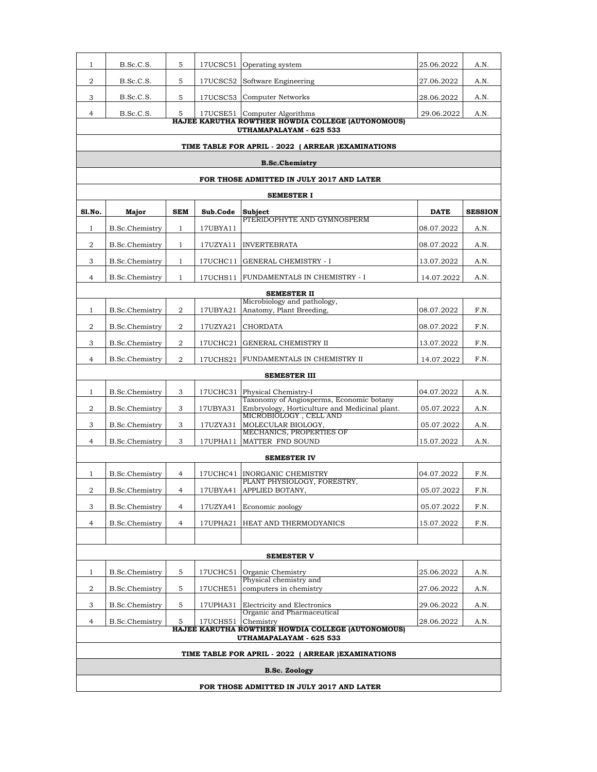| $\mathbf{1}$   | B.Sc.C.S.                                                                    | 5              | 17UCSC51 | Operating system                                                                          | 25.06.2022  | A.N.           |  |  |  |
|----------------|------------------------------------------------------------------------------|----------------|----------|-------------------------------------------------------------------------------------------|-------------|----------------|--|--|--|
| 2              | B.Sc.C.S.                                                                    | 5              | 17UCSC52 | Software Engineering                                                                      | 27.06.2022  | A.N.           |  |  |  |
| 3              | B.Sc.C.S.                                                                    | 5              |          | 17UCSC53 Computer Networks                                                                | 28.06.2022  | A.N.           |  |  |  |
| 4              | B.Sc.C.S.                                                                    | 5              |          | 17UCSE51 Computer Algorithms                                                              | 29.06.2022  | A.N.           |  |  |  |
|                | HAJEE KARUTHA ROWTHER HOWDIA COLLEGE (AUTONOMOUS)<br>UTHAMAPALAYAM - 625 533 |                |          |                                                                                           |             |                |  |  |  |
|                |                                                                              |                |          | TIME TABLE FOR APRIL - 2022 ( ARREAR ) EXAMINATIONS                                       |             |                |  |  |  |
|                |                                                                              |                |          | <b>B.Sc.Chemistry</b>                                                                     |             |                |  |  |  |
|                |                                                                              |                |          | FOR THOSE ADMITTED IN JULY 2017 AND LATER                                                 |             |                |  |  |  |
|                |                                                                              |                |          | <b>SEMESTER I</b>                                                                         |             |                |  |  |  |
| Sl.No.         | Major                                                                        | <b>SEM</b>     | Sub.Code | Subject                                                                                   | <b>DATE</b> | <b>SESSION</b> |  |  |  |
| $\mathbf{1}$   | B.Sc.Chemistry                                                               | $\mathbf{1}$   | 17UBYA11 | PTERIDOPHYTE AND GYMNOSPERM                                                               | 08.07.2022  | A.N.           |  |  |  |
| 2              | <b>B.Sc.Chemistry</b>                                                        | $\mathbf{1}$   | 17UZYA11 | <b>INVERTEBRATA</b>                                                                       | 08.07.2022  | A.N.           |  |  |  |
| 3              | B.Sc.Chemistry                                                               | $\mathbf{1}$   | 17UCHC11 | <b>GENERAL CHEMISTRY - I</b>                                                              | 13.07.2022  | A.N.           |  |  |  |
| 4              | B.Sc.Chemistry                                                               | $\mathbf{1}$   | 17UCHS11 | FUNDAMENTALS IN CHEMISTRY - I                                                             | 14.07.2022  | A.N.           |  |  |  |
|                |                                                                              |                |          | <b>SEMESTER II</b>                                                                        |             |                |  |  |  |
|                |                                                                              |                |          | Microbiology and pathology,                                                               |             |                |  |  |  |
| $\mathbf{1}$   | <b>B.Sc.Chemistry</b>                                                        | 2              | 17UBYA21 | Anatomy, Plant Breeding,                                                                  | 08.07.2022  | F.N.           |  |  |  |
| 2              | B.Sc.Chemistry                                                               | 2              | 17UZYA21 | <b>CHORDATA</b>                                                                           | 08.07.2022  | F.N.           |  |  |  |
| 3              | B.Sc.Chemistry                                                               | $\overline{2}$ | 17UCHC21 | <b>GENERAL CHEMISTRY II</b>                                                               | 13.07.2022  | F.N.           |  |  |  |
| 4              | <b>B.Sc.Chemistry</b>                                                        | $\overline{2}$ | 17UCHS21 | FUNDAMENTALS IN CHEMISTRY II                                                              | 14.07.2022  | F.N.           |  |  |  |
|                |                                                                              |                |          | <b>SEMESTER III</b>                                                                       |             |                |  |  |  |
| $\mathbf{1}$   | B.Sc.Chemistry                                                               | 3              | 17UCHC31 | Physical Chemistry-I                                                                      | 04.07.2022  | A.N.           |  |  |  |
| 2              | <b>B.Sc.Chemistry</b>                                                        | 3              | 17UBYA31 | Taxonomy of Angiosperms, Economic botany<br>Embryology, Horticulture and Medicinal plant. | 05.07.2022  | A.N.           |  |  |  |
| 3              | B.Sc.Chemistry                                                               | 3              | 17UZYA31 | MICROBIOLOGY, CELL AND<br>MOLECULAR BIOLOGY,                                              | 05.07.2022  | A.N.           |  |  |  |
| 4              | B.Sc.Chemistry                                                               | 3              | 17UPHA11 | MECHANICS, PROPERTIES OF<br>MATTER FND SOUND                                              | 15.07.2022  | A.N.           |  |  |  |
|                |                                                                              |                |          | <b>SEMESTER IV</b>                                                                        |             |                |  |  |  |
|                |                                                                              |                |          |                                                                                           |             |                |  |  |  |
| 1              | B.Sc.Chemistry                                                               | 4              | 17UCHC41 | <b>INORGANIC CHEMISTRY</b><br>PLANT PHYSIOLOGY, FORESTRY,                                 | 04.07.2022  | F.N.           |  |  |  |
| $\overline{a}$ | <b>B.Sc.Chemistry</b>                                                        | 4              |          | 17UBYA41 APPLIED BOTANY,                                                                  | 05.07.2022  | F.N.           |  |  |  |
| 3              | B.Sc.Chemistry                                                               | 4              | 17UZYA41 | Economic zoology                                                                          | 05.07.2022  | F.N.           |  |  |  |
| 4              | <b>B.Sc.Chemistry</b>                                                        | $\overline{4}$ | 17UPHA21 | HEAT AND THERMODYANICS                                                                    | 15.07.2022  | F.N.           |  |  |  |
|                |                                                                              |                |          |                                                                                           |             |                |  |  |  |
|                |                                                                              |                |          | <b>SEMESTER V</b>                                                                         |             |                |  |  |  |
| 1              | <b>B.Sc.Chemistry</b>                                                        | 5              | 17UCHC51 | Organic Chemistry<br>Physical chemistry and                                               | 25.06.2022  | A.N.           |  |  |  |
| 2              | B.Sc.Chemistry                                                               | 5              | 17UCHE51 | computers in chemistry                                                                    | 27.06.2022  | A.N.           |  |  |  |
| 3              | B.Sc.Chemistry                                                               | 5              | 17UPHA31 | Electricity and Electronics<br>Organic and Pharmaceutical                                 | 29.06.2022  | A.N.           |  |  |  |
| 4              | B.Sc.Chemistry                                                               | 5              | 17UCHS51 | Chemistry                                                                                 | 28.06.2022  | A.N.           |  |  |  |
|                |                                                                              |                |          | HAJEE KARUTHA ROWTHER HOWDIA COLLEGE (AUTONOMOUS)<br>UTHAMAPALAYAM - 625 533              |             |                |  |  |  |
|                |                                                                              |                |          | TIME TABLE FOR APRIL - 2022 ( ARREAR ) EXAMINATIONS                                       |             |                |  |  |  |
|                |                                                                              |                |          | <b>B.Sc. Zoology</b>                                                                      |             |                |  |  |  |
|                |                                                                              |                |          | FOR THOSE ADMITTED IN JULY 2017 AND LATER                                                 |             |                |  |  |  |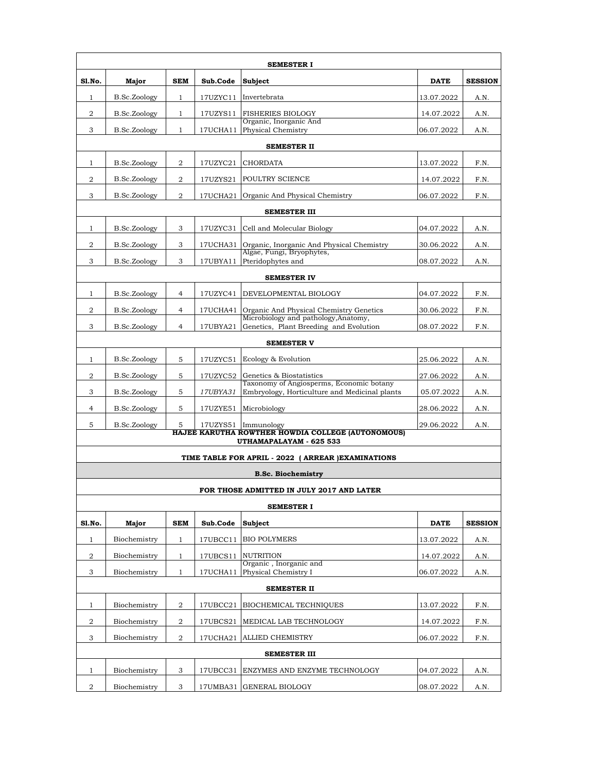| <b>SEMESTER I</b>  |              |                |          |                                                                                           |             |                |  |  |  |
|--------------------|--------------|----------------|----------|-------------------------------------------------------------------------------------------|-------------|----------------|--|--|--|
| Sl.No.             | Major        | <b>SEM</b>     | Sub.Code | Subject                                                                                   | <b>DATE</b> | <b>SESSION</b> |  |  |  |
| $\mathbf{1}$       | B.Sc.Zoology | $\mathbf{1}$   |          | 17UZYC11 Invertebrata                                                                     | 13.07.2022  | A.N.           |  |  |  |
| 2                  | B.Sc.Zoology | $\mathbf{1}$   | 17UZYS11 | <b>FISHERIES BIOLOGY</b>                                                                  | 14.07.2022  | A.N.           |  |  |  |
| 3                  | B.Sc.Zoology | $\mathbf{1}$   |          | Organic, Inorganic And<br>17UCHA11 Physical Chemistry                                     | 06.07.2022  | A.N.           |  |  |  |
| <b>SEMESTER II</b> |              |                |          |                                                                                           |             |                |  |  |  |
| $\mathbf{1}$       | B.Sc.Zoology | 2              | 17UZYC21 | <b>CHORDATA</b>                                                                           | 13.07.2022  | F.N.           |  |  |  |
| 2                  | B.Sc.Zoology | 2              | 17UZYS21 | <b>POULTRY SCIENCE</b>                                                                    | 14.07.2022  | F.N.           |  |  |  |
| 3                  | B.Sc.Zoology | 2              | 17UCHA21 | Organic And Physical Chemistry                                                            | 06.07.2022  | F.N.           |  |  |  |
|                    |              |                |          | <b>SEMESTER III</b>                                                                       |             |                |  |  |  |
| $\mathbf{1}$       | B.Sc.Zoology | 3              | 17UZYC31 | Cell and Molecular Biology                                                                | 04.07.2022  | A.N.           |  |  |  |
| 2                  | B.Sc.Zoology | 3              | 17UCHA31 | Organic, Inorganic And Physical Chemistry                                                 | 30.06.2022  | A.N.           |  |  |  |
| 3                  | B.Sc.Zoology | 3              | 17UBYA11 | Algae, Fungi, Bryophytes,<br>Pteridophytes and                                            | 08.07.2022  | A.N.           |  |  |  |
|                    |              |                |          | <b>SEMESTER IV</b>                                                                        |             |                |  |  |  |
| $\mathbf{1}$       | B.Sc.Zoology | 4              |          | 17UZYC41 DEVELOPMENTAL BIOLOGY                                                            | 04.07.2022  | F.N.           |  |  |  |
| 2                  | B.Sc.Zoology | 4              |          | 17UCHA41 Organic And Physical Chemistry Genetics                                          | 30.06.2022  | F.N.           |  |  |  |
| 3                  | B.Sc.Zoology | $\overline{4}$ | 17UBYA21 | Microbiology and pathology, Anatomy,<br>Genetics, Plant Breeding and Evolution            | 08.07.2022  | F.N.           |  |  |  |
| <b>SEMESTER V</b>  |              |                |          |                                                                                           |             |                |  |  |  |
| $\mathbf{1}$       | B.Sc.Zoology | 5              | 17UZYC51 | Ecology & Evolution                                                                       | 25.06.2022  | A.N.           |  |  |  |
| 2                  | B.Sc.Zoology | 5              |          | 17UZYC52 Genetics & Biostatistics                                                         | 27.06.2022  | A.N.           |  |  |  |
| 3                  | B.Sc.Zoology | 5              | 17UBYA31 | Taxonomy of Angiosperms, Economic botany<br>Embryology, Horticulture and Medicinal plants | 05.07.2022  | A.N.           |  |  |  |
| $\overline{4}$     | B.Sc.Zoology | 5              | 17UZYE51 | Microbiology                                                                              | 28.06.2022  | A.N.           |  |  |  |
| 5                  | B.Sc.Zoology | 5              |          | 17UZYS51 Immunology                                                                       | 29.06.2022  | A.N.           |  |  |  |
|                    |              |                |          | HAJEE KARUTHA ROWTHER HOWDIA COLLEGE (AUTONOMOUS)<br>UTHAMAPALAYAM - 625 533              |             |                |  |  |  |
|                    |              |                |          | TIME TABLE FOR APRIL - 2022 ( ARREAR ) EXAMINATIONS                                       |             |                |  |  |  |
|                    |              |                |          | <b>B.Sc. Biochemistry</b>                                                                 |             |                |  |  |  |
|                    |              |                |          | FOR THOSE ADMITTED IN JULY 2017 AND LATER                                                 |             |                |  |  |  |
|                    |              |                |          | <b>SEMESTER I</b>                                                                         |             |                |  |  |  |
| Sl.No.             | Major        | <b>SEM</b>     | Sub.Code | <b>Subject</b>                                                                            | <b>DATE</b> | <b>SESSION</b> |  |  |  |
| 1                  | Biochemistry | $\mathbf{1}$   | 17UBCC11 | <b>BIO POLYMERS</b>                                                                       | 13.07.2022  | A.N.           |  |  |  |
| $\boldsymbol{2}$   | Biochemistry | $\mathbf{1}$   | 17UBCS11 | <b>NUTRITION</b>                                                                          | 14.07.2022  | A.N.           |  |  |  |
| 3                  | Biochemistry | $\mathbf{1}$   | 17UCHA11 | Organic, Inorganic and<br>Physical Chemistry I                                            | 06.07.2022  | A.N.           |  |  |  |
|                    |              |                |          | <b>SEMESTER II</b>                                                                        |             |                |  |  |  |
| $\mathbf{1}$       | Biochemistry | 2              | 17UBCC21 | <b>BIOCHEMICAL TECHNIQUES</b>                                                             | 13.07.2022  | F.N.           |  |  |  |
| 2                  | Biochemistry | 2              | 17UBCS21 | MEDICAL LAB TECHNOLOGY                                                                    | 14.07.2022  | F.N.           |  |  |  |
| 3                  | Biochemistry | 2              | 17UCHA21 | <b>ALLIED CHEMISTRY</b>                                                                   | 06.07.2022  | F.N.           |  |  |  |
|                    |              |                |          | <b>SEMESTER III</b>                                                                       |             |                |  |  |  |
| $\mathbf{1}$       | Biochemistry | 3              | 17UBCC31 | <b>ENZYMES AND ENZYME TECHNOLOGY</b>                                                      | 04.07.2022  | A.N.           |  |  |  |
| 2                  | Biochemistry | 3              |          | 17UMBA31 GENERAL BIOLOGY                                                                  | 08.07.2022  | A.N.           |  |  |  |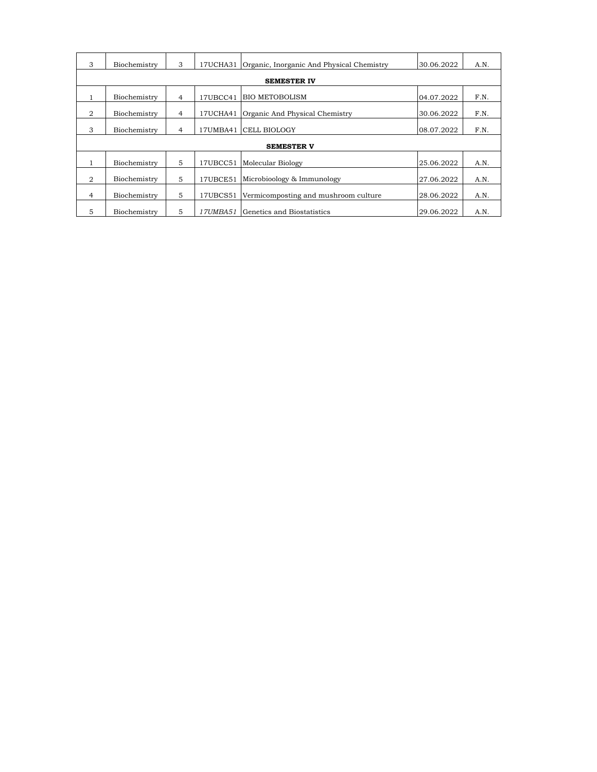| 3 | Biochemistry       | 3              | 17UCHA31 | Organic, Inorganic And Physical Chemistry | 30.06.2022 | A.N. |  |  |  |
|---|--------------------|----------------|----------|-------------------------------------------|------------|------|--|--|--|
|   | <b>SEMESTER IV</b> |                |          |                                           |            |      |  |  |  |
| 1 | Biochemistry       | $\overline{4}$ | 17UBCC41 | <b>BIO METOBOLISM</b>                     | 04.07.2022 | F.N. |  |  |  |
| 2 | Biochemistry       | $\overline{4}$ | 17UCHA41 | Organic And Physical Chemistry            | 30.06.2022 | F.N. |  |  |  |
| 3 | Biochemistry       | 4              |          | 17UMBA41 CELL BIOLOGY                     | 08.07.2022 | F.N. |  |  |  |
|   |                    |                |          | <b>SEMESTER V</b>                         |            |      |  |  |  |
| 1 | Biochemistry       | 5              | 17UBCC51 | Molecular Biology                         | 25.06.2022 | A.N. |  |  |  |
| 2 | Biochemistry       | 5              | 17UBCE51 | Microbioology & Immunology                | 27.06.2022 | A.N. |  |  |  |
| 4 | Biochemistry       | 5              | 17UBCS51 | Vermicomposting and mushroom culture      | 28.06.2022 | A.N. |  |  |  |
| 5 | Biochemistry       | 5              | 17UMBA51 | Genetics and Biostatistics                | 29.06.2022 | A.N. |  |  |  |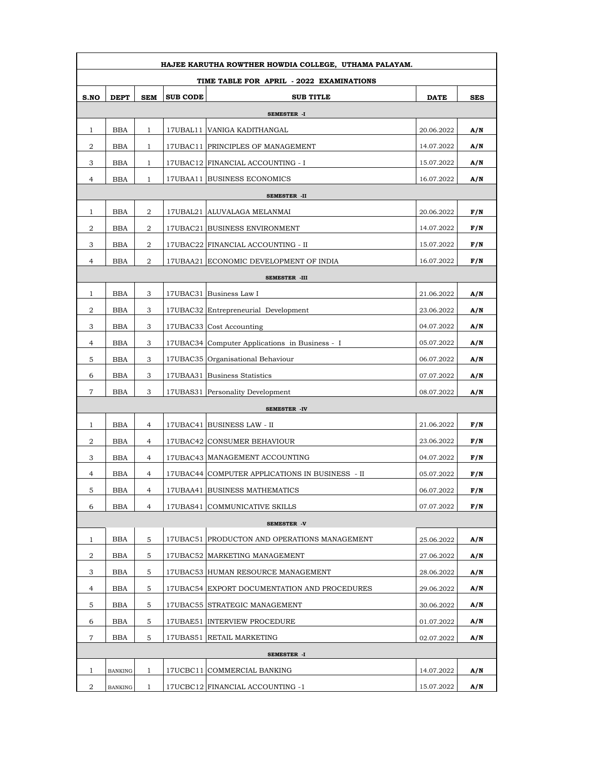| HAJEE KARUTHA ROWTHER HOWDIA COLLEGE, UTHAMA PALAYAM. |                |                |                 |                                                 |             |            |  |  |  |  |
|-------------------------------------------------------|----------------|----------------|-----------------|-------------------------------------------------|-------------|------------|--|--|--|--|
| TIME TABLE FOR APRIL - 2022 EXAMINATIONS              |                |                |                 |                                                 |             |            |  |  |  |  |
| S.NO                                                  | <b>DEPT</b>    | <b>SEM</b>     | <b>SUB CODE</b> | <b>SUB TITLE</b>                                | <b>DATE</b> | <b>SES</b> |  |  |  |  |
| SEMESTER -I                                           |                |                |                 |                                                 |             |            |  |  |  |  |
| 1                                                     | <b>BBA</b>     | $\mathbf{1}$   |                 | 17UBAL11   VANIGA KADITHANGAL                   | 20.06.2022  | A/N        |  |  |  |  |
| 2                                                     | <b>BBA</b>     | $\mathbf{1}$   |                 | 17UBAC11 PRINCIPLES OF MANAGEMENT               | 14.07.2022  | A/N        |  |  |  |  |
| 3                                                     | <b>BBA</b>     | $\mathbf{1}$   |                 | 17UBAC12 FINANCIAL ACCOUNTING - I               | 15.07.2022  | A/N        |  |  |  |  |
| 4                                                     | <b>BBA</b>     | $\mathbf{1}$   |                 | 17UBAA11 BUSINESS ECONOMICS                     | 16.07.2022  | A/N        |  |  |  |  |
|                                                       | SEMESTER -II   |                |                 |                                                 |             |            |  |  |  |  |
| 1                                                     | <b>BBA</b>     | 2              |                 | 17UBAL21   ALUVALAGA MELANMAI                   | 20.06.2022  | F/N        |  |  |  |  |
| 2                                                     | BBA            | 2              |                 | 17UBAC21 BUSINESS ENVIRONMENT                   | 14.07.2022  | F/N        |  |  |  |  |
| 3                                                     | <b>BBA</b>     | 2              |                 | 17UBAC22 FINANCIAL ACCOUNTING - II              | 15.07.2022  | F/N        |  |  |  |  |
| 4                                                     | <b>BBA</b>     | 2              |                 | 17UBAA21 ECONOMIC DEVELOPMENT OF INDIA          | 16.07.2022  | F/N        |  |  |  |  |
|                                                       |                |                |                 | SEMESTER -III                                   |             |            |  |  |  |  |
| 1                                                     | <b>BBA</b>     | 3              |                 | 17UBAC31 Business Law I                         | 21.06.2022  | A/N        |  |  |  |  |
| 2                                                     | <b>BBA</b>     | 3              |                 | 17UBAC32 Entrepreneurial Development            | 23.06.2022  | A/N        |  |  |  |  |
| 3                                                     | <b>BBA</b>     | 3              |                 | 17UBAC33 Cost Accounting                        | 04.07.2022  | A/N        |  |  |  |  |
| 4                                                     | BBA            | 3              |                 | 17UBAC34 Computer Applications in Business - I  | 05.07.2022  | A/N        |  |  |  |  |
| 5                                                     | <b>BBA</b>     | 3              |                 | 17UBAC35 Organisational Behaviour               | 06.07.2022  | A/N        |  |  |  |  |
| 6                                                     | <b>BBA</b>     | 3              |                 | 17UBAA31 Business Statistics                    | 07.07.2022  | A/N        |  |  |  |  |
| 7                                                     | <b>BBA</b>     | 3              |                 | 17UBAS31 Personality Development                | 08.07.2022  | A/N        |  |  |  |  |
|                                                       |                |                |                 | <b>SEMESTER -IV</b>                             |             |            |  |  |  |  |
| 1                                                     | <b>BBA</b>     | 4              |                 | 17UBAC41 BUSINESS LAW - II                      | 21.06.2022  | F/N        |  |  |  |  |
| 2                                                     | <b>BBA</b>     | $\overline{4}$ |                 | 17UBAC42 CONSUMER BEHAVIOUR                     | 23.06.2022  | F/N        |  |  |  |  |
| 3                                                     | <b>BBA</b>     | $\overline{4}$ |                 | 17UBAC43 MANAGEMENT ACCOUNTING                  | 04.07.2022  | F/N        |  |  |  |  |
| 4                                                     | BBA            | $\overline{4}$ |                 | 17UBAC44 COMPUTER APPLICATIONS IN BUSINESS - II | 05.07.2022  | F/N        |  |  |  |  |
| 5.                                                    | <b>BBA</b>     | $\overline{4}$ |                 | 17UBAA41 BUSINESS MATHEMATICS                   | 06.07.2022  | F/N        |  |  |  |  |
| 6                                                     | <b>BBA</b>     | $\overline{4}$ |                 | 17UBAS41 COMMUNICATIVE SKILLS                   | 07.07.2022  | F/N        |  |  |  |  |
|                                                       |                |                |                 | SEMESTER -V                                     |             |            |  |  |  |  |
| 1                                                     | <b>BBA</b>     | 5              |                 | 17UBAC51 PRODUCTON AND OPERATIONS MANAGEMENT    | 25.06.2022  | A/N        |  |  |  |  |
| 2                                                     | <b>BBA</b>     | 5              |                 | 17UBAC52 MARKETING MANAGEMENT                   | 27.06.2022  | A/N        |  |  |  |  |
| 3                                                     | <b>BBA</b>     | 5              |                 | 17UBAC53 HUMAN RESOURCE MANAGEMENT              | 28.06.2022  | A/N        |  |  |  |  |
| 4                                                     | <b>BBA</b>     | 5              |                 | 17UBAC54 EXPORT DOCUMENTATION AND PROCEDURES    | 29.06.2022  | A/N        |  |  |  |  |
| 5                                                     | <b>BBA</b>     | 5              |                 | 17UBAC55 STRATEGIC MANAGEMENT                   | 30.06.2022  | A/N        |  |  |  |  |
| 6                                                     | <b>BBA</b>     | 5              |                 | 17UBAE51 INTERVIEW PROCEDURE                    | 01.07.2022  | A/N        |  |  |  |  |
| 7                                                     | <b>BBA</b>     | 5              |                 | 17UBAS51 RETAIL MARKETING                       | 02.07.2022  | A/N        |  |  |  |  |
|                                                       |                |                |                 | SEMESTER -I                                     |             |            |  |  |  |  |
| $\mathbf{1}$                                          | <b>BANKING</b> | 1              |                 | 17UCBC11 COMMERCIAL BANKING                     | 14.07.2022  | A/N        |  |  |  |  |
| 2                                                     | <b>BANKING</b> | 1              |                 | 17UCBC12 FINANCIAL ACCOUNTING -1                | 15.07.2022  | A/N        |  |  |  |  |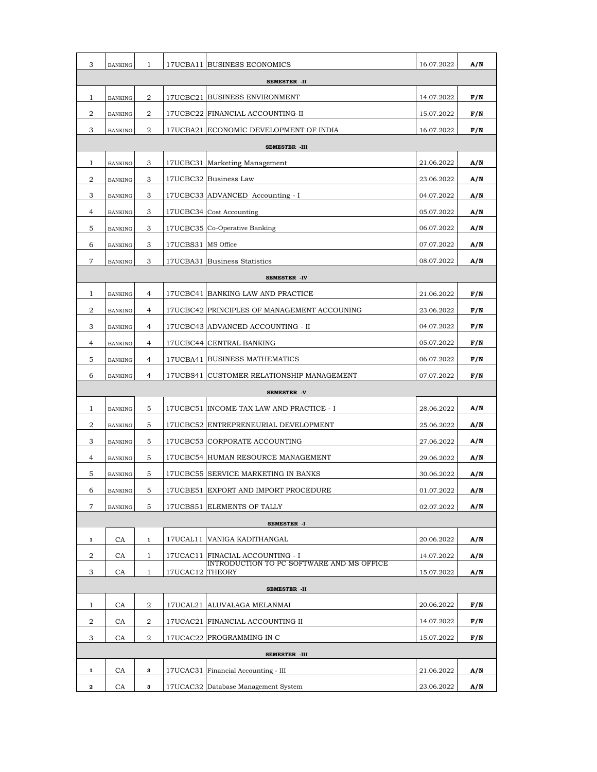| 3             | <b>BANKING</b> | 1              |                    | 17UCBA11 BUSINESS ECONOMICS                 | 16.07.2022 | A/N |  |
|---------------|----------------|----------------|--------------------|---------------------------------------------|------------|-----|--|
| SEMESTER -II  |                |                |                    |                                             |            |     |  |
| 1             | <b>BANKING</b> | 2              |                    | 17UCBC21 BUSINESS ENVIRONMENT               | 14.07.2022 | F/N |  |
| 2             | <b>BANKING</b> | 2              |                    | 17UCBC22 FINANCIAL ACCOUNTING-II            | 15.07.2022 | F/N |  |
| 3             | <b>BANKING</b> | 2              |                    | 17UCBA21 ECONOMIC DEVELOPMENT OF INDIA      | 16.07.2022 | F/N |  |
| SEMESTER -III |                |                |                    |                                             |            |     |  |
| $\mathbf{1}$  | <b>BANKING</b> | 3              |                    | 17UCBC31 Marketing Management               | 21.06.2022 | A/N |  |
| 2             | <b>BANKING</b> | 3              |                    | 17UCBC32 Business Law                       | 23.06.2022 | A/N |  |
| 3             | <b>BANKING</b> | 3              |                    | 17UCBC33 ADVANCED Accounting - I            | 04.07.2022 | A/N |  |
| 4             | <b>BANKING</b> | 3              |                    | 17UCBC34 Cost Accounting                    | 05.07.2022 | A/N |  |
| 5             | <b>BANKING</b> | 3              |                    | 17UCBC35 Co-Operative Banking               | 06.07.2022 | A/N |  |
| 6             | <b>BANKING</b> | 3              | 17UCBS31 MS Office |                                             | 07.07.2022 | A/N |  |
| 7             | <b>BANKING</b> | 3              |                    | 17UCBA31 Business Statistics                | 08.07.2022 | A/N |  |
|               |                |                |                    | SEMESTER -IV                                |            |     |  |
| 1             | <b>BANKING</b> | 4              |                    | 17UCBC41 BANKING LAW AND PRACTICE           | 21.06.2022 | F/N |  |
| 2             | <b>BANKING</b> | 4              |                    | 17UCBC42 PRINCIPLES OF MANAGEMENT ACCOUNING | 23.06.2022 | F/N |  |
| 3             | <b>BANKING</b> | 4              |                    | 17UCBC43 ADVANCED ACCOUNTING - II           | 04.07.2022 | F/N |  |
| 4             | <b>BANKING</b> | 4              |                    | 17UCBC44 CENTRAL BANKING                    | 05.07.2022 | F/N |  |
| 5             | <b>BANKING</b> | 4              |                    | 17UCBA41 BUSINESS MATHEMATICS               | 06.07.2022 | F/N |  |
| 6             | <b>BANKING</b> | 4              |                    | 17UCBS41 CUSTOMER RELATIONSHIP MANAGEMENT   | 07.07.2022 | F/N |  |
|               |                |                |                    | SEMESTER -V                                 |            |     |  |
| $\mathbf{1}$  | <b>BANKING</b> | 5              |                    | 17UCBC51 INCOME TAX LAW AND PRACTICE - I    | 28.06.2022 | A/N |  |
| 2             | <b>BANKING</b> | 5              |                    | 17UCBC52 ENTREPRENEURIAL DEVELOPMENT        | 25.06.2022 | A/N |  |
| 3             | <b>BANKING</b> | 5              |                    | 17UCBC53 CORPORATE ACCOUNTING               | 27.06.2022 | A/N |  |
| 4             | <b>BANKING</b> | 5              |                    | 17UCBC54 HUMAN RESOURCE MANAGEMENT          | 29.06.2022 | A/N |  |
| 5             | <b>BANKING</b> | 5              |                    | 17 UCBC55 SERVICE MARKETING IN BANKS        | 30.06.2022 | A/N |  |
| 6             | BANKING        | 5              |                    | 17UCBE51 EXPORT AND IMPORT PROCEDURE        | 01.07.2022 | A/N |  |
| 7             | <b>BANKING</b> | 5              |                    | 17UCBS51 ELEMENTS OF TALLY                  | 02.07.2022 | A/N |  |
| SEMESTER -I   |                |                |                    |                                             |            |     |  |
| 1             | CA             | $\mathbf{1}$   |                    | 17UCAL11   VANIGA KADITHANGAL               | 20.06.2022 | A/N |  |
| 2             | <b>CA</b>      | 1              |                    | 17UCAC11 FINACIAL ACCOUNTING - I            | 14.07.2022 | A/N |  |
| 3             | CA             | $\mathbf{1}$   | 17UCAC12 THEORY    | INTRODUCTION TO PC SOFTWARE AND MS OFFICE   | 15.07.2022 | A/N |  |
| SEMESTER -II  |                |                |                    |                                             |            |     |  |
| $\mathbf{1}$  | <b>CA</b>      | 2              |                    | 17UCAL21 ALUVALAGA MELANMAI                 | 20.06.2022 | F/N |  |
| 2             | CA             | $\overline{a}$ |                    | 17UCAC21 FINANCIAL ACCOUNTING II            | 14.07.2022 | F/N |  |
| 3             | <b>CA</b>      | 2              |                    | 17UCAC22 PROGRAMMING IN C                   | 15.07.2022 | F/N |  |
| SEMESTER -III |                |                |                    |                                             |            |     |  |
| 1             | CA             | 3              |                    | 17UCAC31 Financial Accounting - III         | 21.06.2022 | A/N |  |
| $\mathbf{2}$  | CA             | 3              |                    | 17UCAC32 Database Management System         | 23.06.2022 | A/N |  |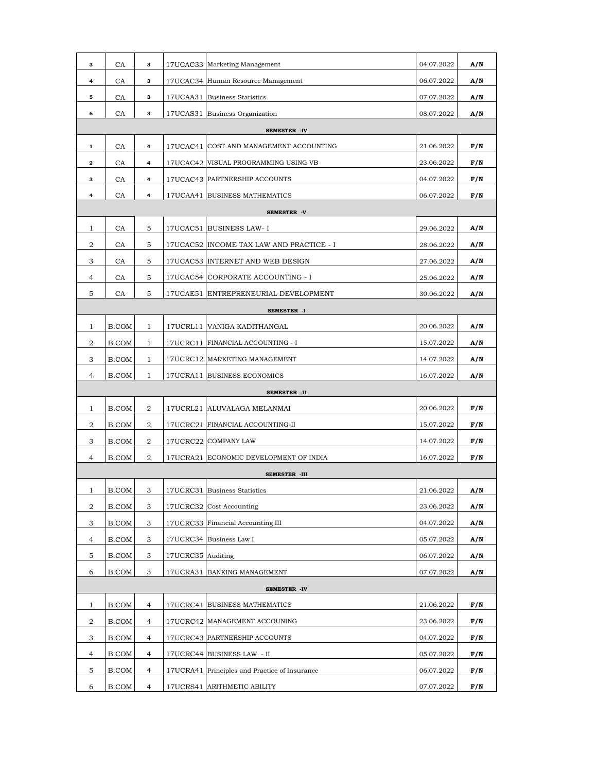| 3              | <b>CA</b> | з              |                   | 17UCAC33 Marketing Management                 | 04.07.2022 | A/N |  |  |
|----------------|-----------|----------------|-------------------|-----------------------------------------------|------------|-----|--|--|
| 4              | CA        | 3              |                   | 17UCAC34 Human Resource Management            | 06.07.2022 | A/N |  |  |
| 5              | CA        | з              |                   | 17UCAA31 Business Statistics                  | 07.07.2022 | A/N |  |  |
| 6              | CA        | 3              |                   | 17UCAS31 Business Organization                | 08.07.2022 | A/N |  |  |
| SEMESTER -IV   |           |                |                   |                                               |            |     |  |  |
| $\mathbf 1$    | <b>CA</b> | 4              |                   | 17UCAC41 COST AND MANAGEMENT ACCOUNTING       | 21.06.2022 | F/N |  |  |
| 2              | CA        | 4              |                   | 17UCAC42 VISUAL PROGRAMMING USING VB          | 23.06.2022 | F/N |  |  |
| з              | CA        | 4              |                   | 17UCAC43 PARTNERSHIP ACCOUNTS                 | 04.07.2022 | F/N |  |  |
| 4              | CA        | 4              |                   | 17UCAA41 BUSINESS MATHEMATICS                 | 06.07.2022 | F/N |  |  |
| SEMESTER -V    |           |                |                   |                                               |            |     |  |  |
| $\mathbf{1}$   | CA        | 5              |                   | 17UCAC51 BUSINESS LAW- I                      | 29.06.2022 | A/N |  |  |
| 2              | CA        | 5              |                   | 17 UCAC52 INCOME TAX LAW AND PRACTICE - I     | 28.06.2022 | A/N |  |  |
| 3              | CA        | 5              |                   | 17UCAC53 INTERNET AND WEB DESIGN              | 27.06.2022 | A/N |  |  |
| 4              | <b>CA</b> | 5              |                   | 17UCAC54 CORPORATE ACCOUNTING - I             | 25.06.2022 | A/N |  |  |
| 5              | CA        | 5              |                   | 17UCAE51 ENTREPRENEURIAL DEVELOPMENT          | 30.06.2022 | A/N |  |  |
|                |           |                |                   | SEMESTER -I                                   |            |     |  |  |
| $\mathbf{1}$   | B.COM     | $\mathbf{1}$   |                   | 17UCRL11 VANIGA KADITHANGAL                   | 20.06.2022 | A/N |  |  |
| 2              | B.COM     | $\mathbf{1}$   |                   | 17UCRC11 FINANCIAL ACCOUNTING - I             | 15.07.2022 | A/N |  |  |
| 3              | B.COM     | $\mathbf{1}$   |                   | 17UCRC12 MARKETING MANAGEMENT                 | 14.07.2022 | A/N |  |  |
| 4              | B.COM     | $\mathbf{1}$   |                   | 17UCRA11 BUSINESS ECONOMICS                   | 16.07.2022 | A/N |  |  |
|                |           |                |                   | SEMESTER -II                                  |            |     |  |  |
| 1              | B.COM     | $\overline{2}$ |                   | 17UCRL21   ALUVALAGA MELANMAI                 | 20.06.2022 | F/N |  |  |
| 2              | B.COM     | 2              |                   | 17UCRC21 FINANCIAL ACCOUNTING-II              | 15.07.2022 | F/N |  |  |
| 3              | B.COM     | 2              |                   | 17UCRC22 COMPANY LAW                          | 14.07.2022 | F/N |  |  |
| $\overline{4}$ | B.COM     | 2              |                   | 17UCRA21 ECONOMIC DEVELOPMENT OF INDIA        | 16.07.2022 | F/N |  |  |
|                |           |                |                   | SEMESTER -III                                 |            |     |  |  |
| $\mathbf{I}$   | B.COM     | З              |                   | I7UCRC31 Business Statistics                  | 21.06.2022 | A/N |  |  |
| 2              | B.COM     | 3              |                   | 17UCRC32 Cost Accounting                      | 23.06.2022 | A/N |  |  |
| 3              | B.COM     | 3              |                   | 17UCRC33 Financial Accounting III             | 04.07.2022 | A/N |  |  |
| 4              | B.COM     | 3              |                   | 17UCRC34 Business Law I                       | 05.07.2022 | A/N |  |  |
| 5              | B.COM     | 3              | 17UCRC35 Auditing |                                               | 06.07.2022 | A/N |  |  |
| 6              | B.COM     | 3              |                   | 17UCRA31 BANKING MANAGEMENT                   | 07.07.2022 | A/N |  |  |
|                |           |                |                   | SEMESTER -IV                                  |            |     |  |  |
| $\mathbf{1}$   | B.COM     | 4              |                   | 17UCRC41 BUSINESS MATHEMATICS                 | 21.06.2022 | F/N |  |  |
| 2              | B.COM     | 4              |                   | 17UCRC42 MANAGEMENT ACCOUNING                 | 23.06.2022 | F/N |  |  |
| 3              | B.COM     | 4              |                   | 17UCRC43 PARTNERSHIP ACCOUNTS                 | 04.07.2022 | F/N |  |  |
| 4              | B.COM     | 4              |                   | 17UCRC44 BUSINESS LAW - II                    | 05.07.2022 | F/N |  |  |
| 5              | B.COM     | 4              |                   | 17UCRA41 Principles and Practice of Insurance | 06.07.2022 | F/N |  |  |
|                |           |                |                   |                                               |            |     |  |  |
| 6              | B.COM     | 4              |                   | 17UCRS41 ARITHMETIC ABILITY                   | 07.07.2022 | F/N |  |  |